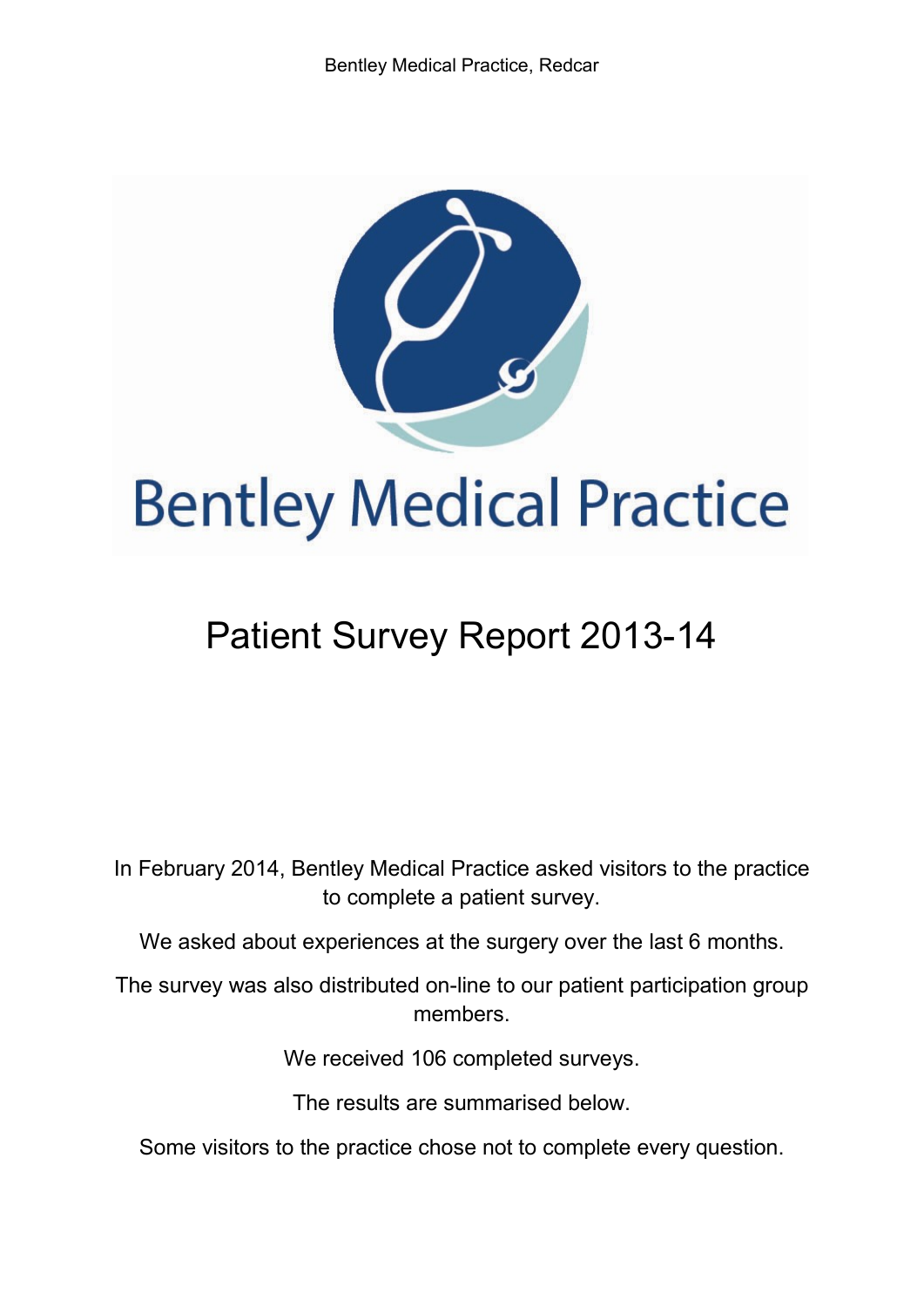

# Patient Survey Report 2013-14

In February 2014, Bentley Medical Practice asked visitors to the practice to complete a patient survey.

We asked about experiences at the surgery over the last 6 months.

The survey was also distributed on-line to our patient participation group members.

We received 106 completed surveys.

The results are summarised below.

Some visitors to the practice chose not to complete every question.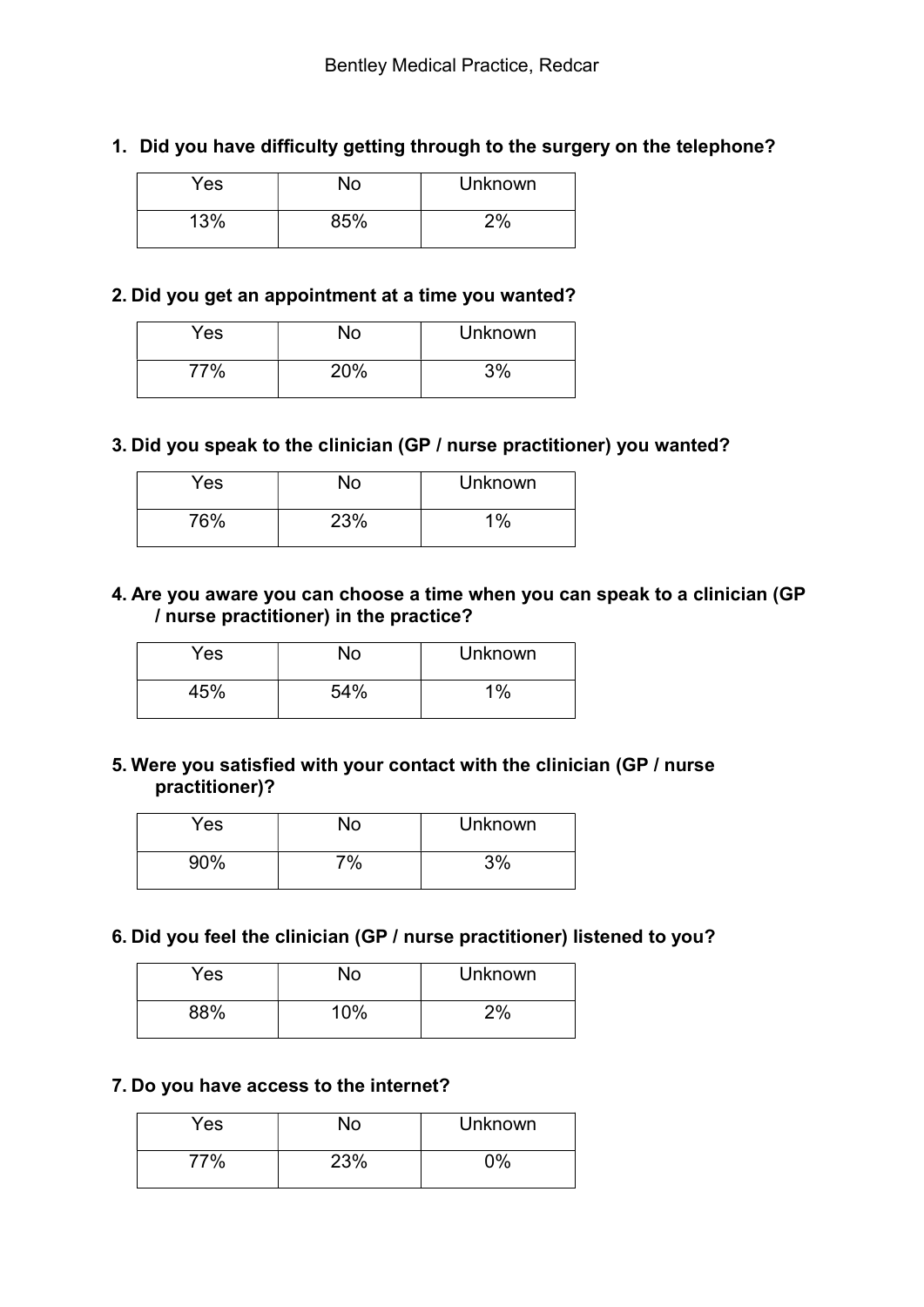## 1. Did you have difficulty getting through to the surgery on the telephone?

| Yes | No  | <b>Unknown</b> |
|-----|-----|----------------|
| 13% | 85% | 2%             |

#### 2. Did you get an appointment at a time you wanted?

| Yes | No  | <b>Unknown</b> |
|-----|-----|----------------|
| 77% | 20% | 3%             |

#### 3. Did you speak to the clinician (GP / nurse practitioner) you wanted?

| Yes | No  | <b>Unknown</b> |
|-----|-----|----------------|
| 76% | 23% | 1%             |

#### 4. Are you aware you can choose a time when you can speak to a clinician (GP / nurse practitioner) in the practice?

| Yes | N٥  | <b>Unknown</b> |
|-----|-----|----------------|
| 45% | 54% | 1%             |

## 5. Were you satisfied with your contact with the clinician (GP / nurse practitioner)?

| Yes | No | <b>Unknown</b> |
|-----|----|----------------|
| 90% | 7% | 3%             |

#### 6. Did you feel the clinician (GP / nurse practitioner) listened to you?

| Yes | N٥  | Unknown |
|-----|-----|---------|
| 88% | 10% | 2%      |

#### 7. Do you have access to the internet?

| Yes | No  | <b>Unknown</b> |
|-----|-----|----------------|
| 77% | 23% | ገ%             |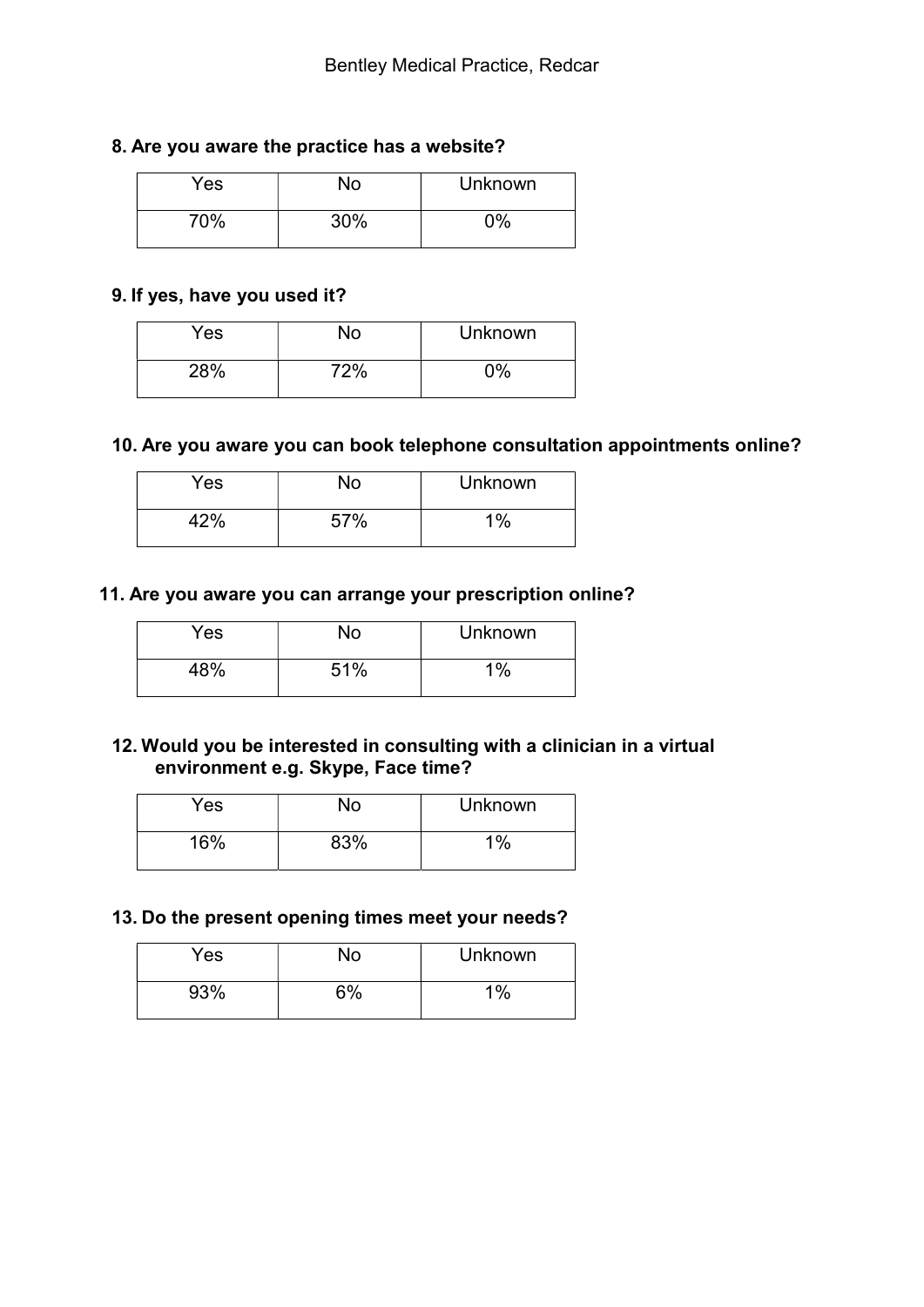#### 8. Are you aware the practice has a website?

| Yes | No  | <b>Unknown</b> |
|-----|-----|----------------|
| 70% | 30% | $0\%$          |

## 9. If yes, have you used it?

| Yes | No  | <b>Unknown</b> |
|-----|-----|----------------|
| 28% | 72% | $0\%$          |

## 10. Are you aware you can book telephone consultation appointments online?

| Yes   | No  | <b>Unknown</b> |
|-------|-----|----------------|
| $2\%$ | 57% | 1%             |

## 11. Are you aware you can arrange your prescription online?

| Yes | No  | <b>Unknown</b> |
|-----|-----|----------------|
| 48% | 51% | $1\%$          |

## 12. Would you be interested in consulting with a clinician in a virtual environment e.g. Skype, Face time?

| Yes | No  | <b>Unknown</b> |
|-----|-----|----------------|
| 16% | 83% | $1\%$          |

## 13. Do the present opening times meet your needs?

| <b>Yes</b> | No | <b>Unknown</b> |
|------------|----|----------------|
| 93%        | 5% | $1\%$          |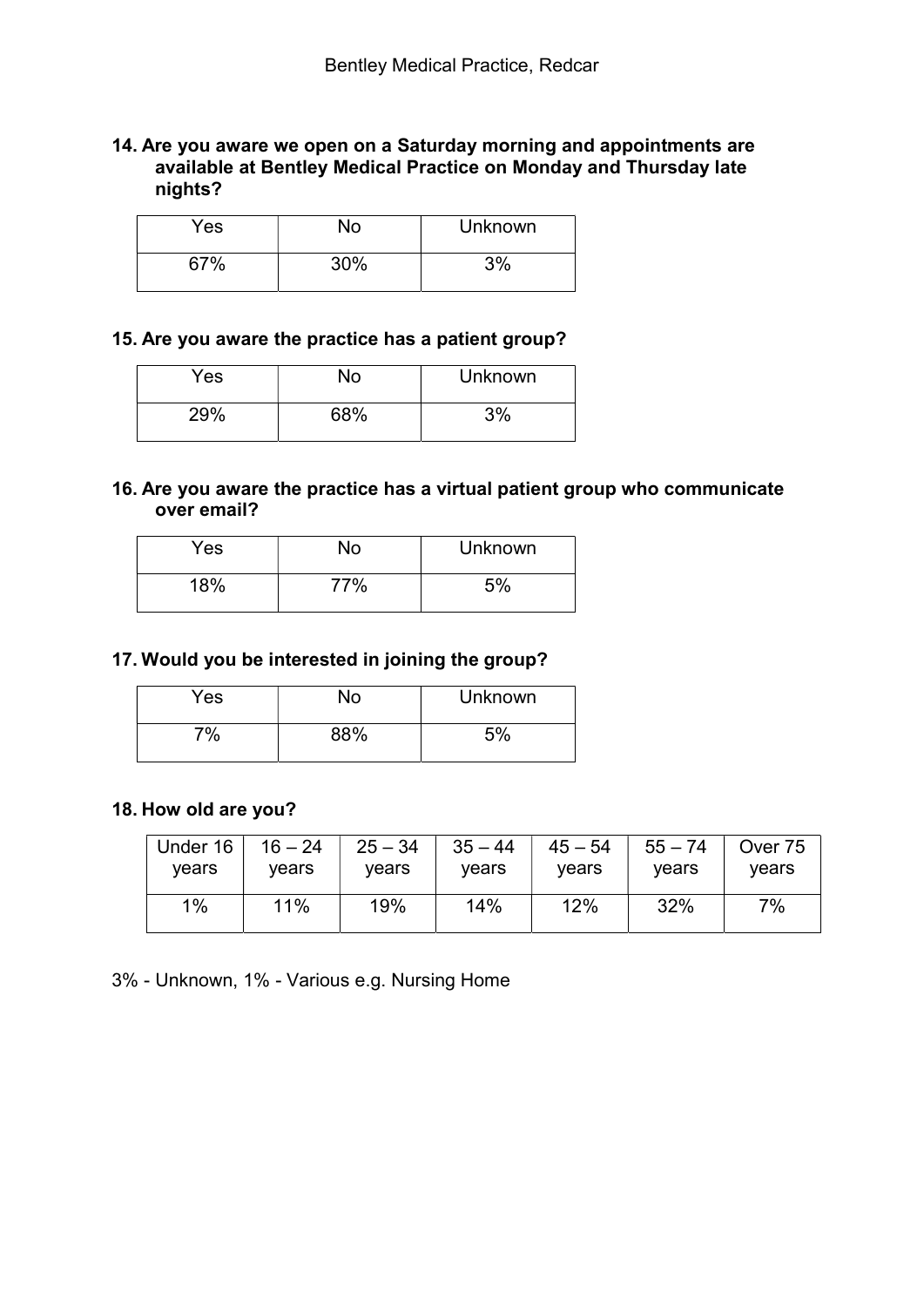#### 14. Are you aware we open on a Saturday morning and appointments are available at Bentley Medical Practice on Monday and Thursday late nights?

| Yes | N٥  | <b>Unknown</b> |
|-----|-----|----------------|
| 67% | 30% | 3%             |

## 15. Are you aware the practice has a patient group?

| Yes | No  | <b>Unknown</b> |
|-----|-----|----------------|
| 29% | 68% | 3%             |

#### 16. Are you aware the practice has a virtual patient group who communicate over email?

| <b>Yes</b> | No  | <b>Unknown</b> |
|------------|-----|----------------|
| 18%        | 77% | 5%             |

#### 17. Would you be interested in joining the group?

| Yes            | ٧o  | <b>Unknown</b> |
|----------------|-----|----------------|
| $\frac{10}{6}$ | 88% | 5%             |

#### 18. How old are you?

| Under 16 | $16 - 24$ | $25 - 34$ | $35 - 44$ | $45 - 54$ | $55 - 74$ | Over 75 |
|----------|-----------|-----------|-----------|-----------|-----------|---------|
| vears    | vears     | vears     | vears     | vears     | vears     | vears   |
| $1\%$    | 11%       | 19%       | 14%       | 12%       | 32%       | 7%      |

3% - Unknown, 1% - Various e.g. Nursing Home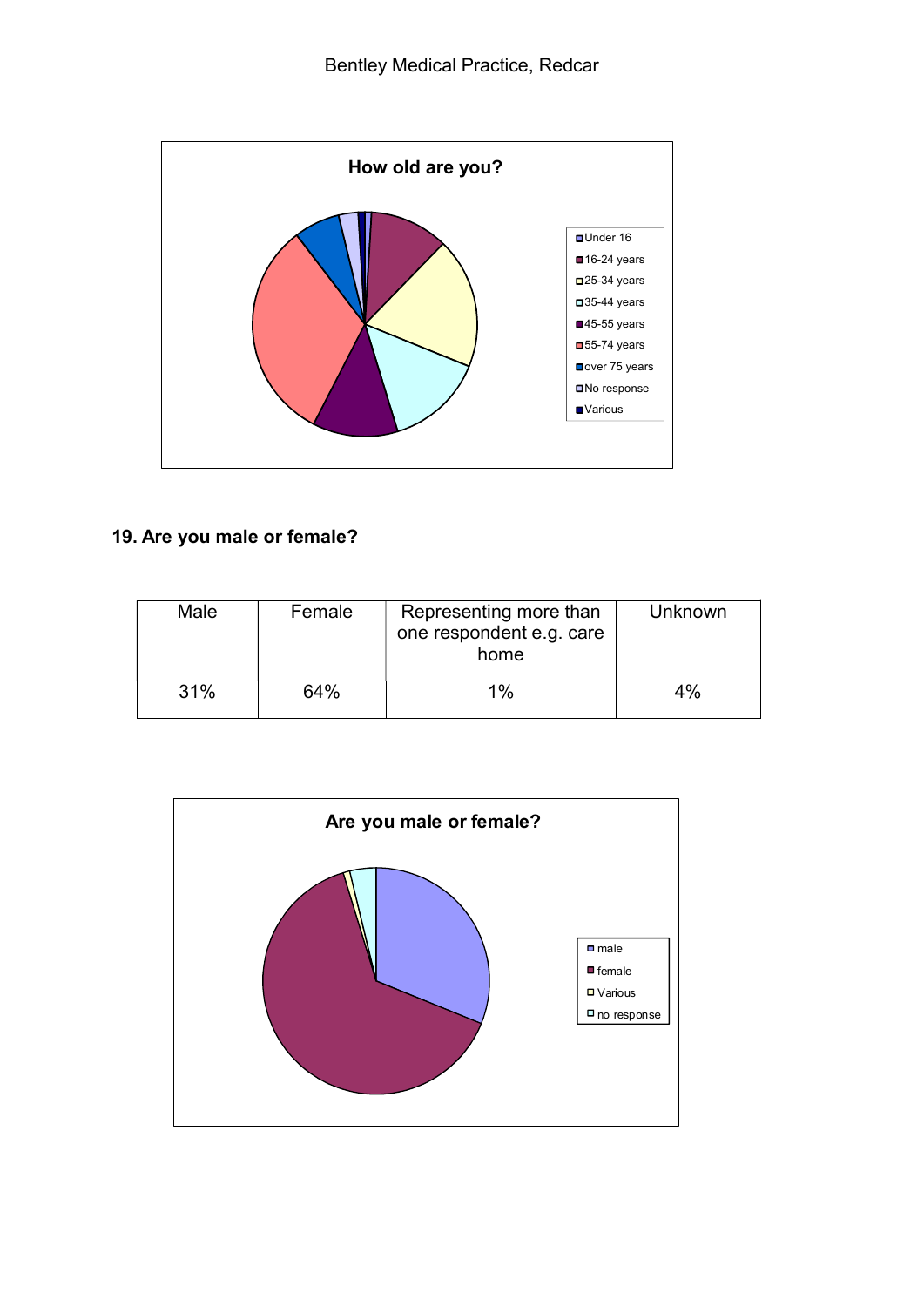

## 19. Are you male or female?

| Male | Female | Representing more than<br>one respondent e.g. care<br>home | Unknown |
|------|--------|------------------------------------------------------------|---------|
| 31%  | 64%    | 1%                                                         | $4\%$   |

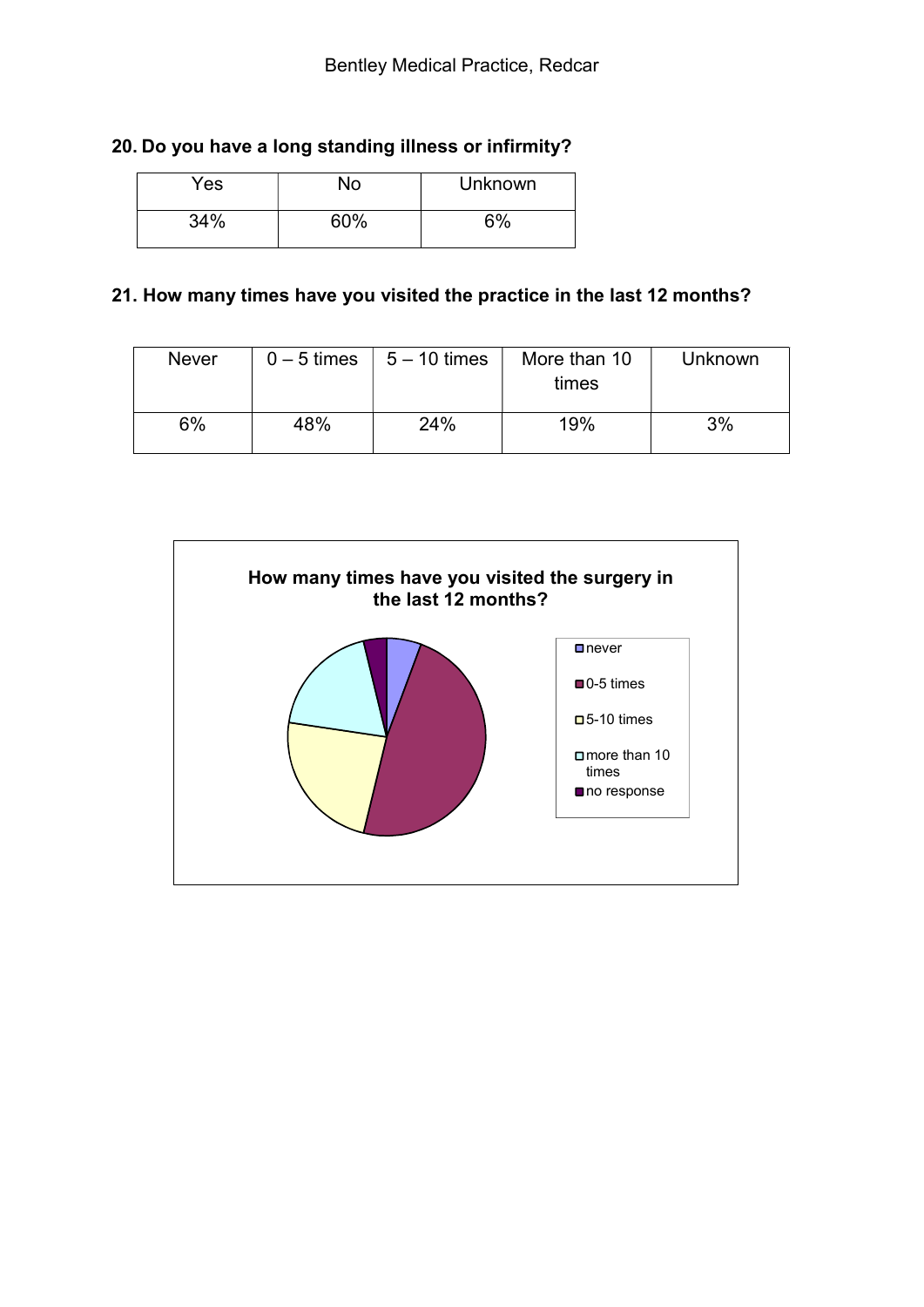## 20. Do you have a long standing illness or infirmity?

| Yes | No  | Unknown |
|-----|-----|---------|
| 34% | 60% | 6%      |

## 21. How many times have you visited the practice in the last 12 months?

| <b>Never</b> | $0 - 5$ times | $5 - 10$ times | More than 10<br>times | Unknown |
|--------------|---------------|----------------|-----------------------|---------|
| 6%           | 48%           | 24%            | 19%                   | 3%      |

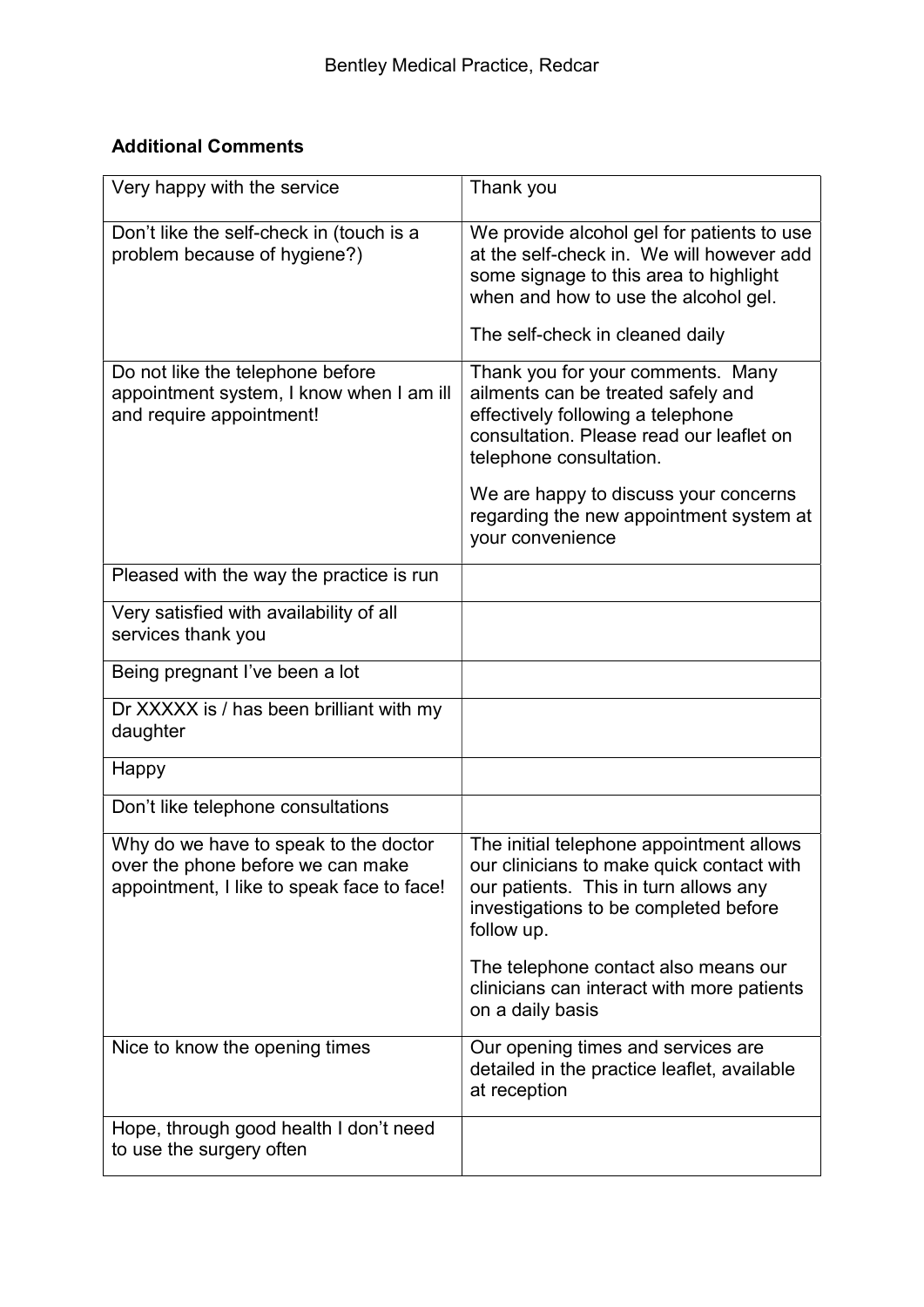## Additional Comments

| Very happy with the service                                                                                              | Thank you                                                                                                                                                                                                                                                                                   |
|--------------------------------------------------------------------------------------------------------------------------|---------------------------------------------------------------------------------------------------------------------------------------------------------------------------------------------------------------------------------------------------------------------------------------------|
| Don't like the self-check in (touch is a<br>problem because of hygiene?)                                                 | We provide alcohol gel for patients to use<br>at the self-check in. We will however add<br>some signage to this area to highlight<br>when and how to use the alcohol gel.<br>The self-check in cleaned daily                                                                                |
| Do not like the telephone before<br>appointment system, I know when I am ill<br>and require appointment!                 | Thank you for your comments. Many<br>ailments can be treated safely and<br>effectively following a telephone<br>consultation. Please read our leaflet on<br>telephone consultation.<br>We are happy to discuss your concerns<br>regarding the new appointment system at<br>your convenience |
| Pleased with the way the practice is run                                                                                 |                                                                                                                                                                                                                                                                                             |
| Very satisfied with availability of all<br>services thank you                                                            |                                                                                                                                                                                                                                                                                             |
| Being pregnant I've been a lot                                                                                           |                                                                                                                                                                                                                                                                                             |
| Dr XXXXX is / has been brilliant with my<br>daughter                                                                     |                                                                                                                                                                                                                                                                                             |
| Happy                                                                                                                    |                                                                                                                                                                                                                                                                                             |
| Don't like telephone consultations                                                                                       |                                                                                                                                                                                                                                                                                             |
| Why do we have to speak to the doctor<br>over the phone before we can make<br>appointment, I like to speak face to face! | The initial telephone appointment allows<br>our clinicians to make quick contact with<br>our patients. This in turn allows any<br>investigations to be completed before<br>follow up.                                                                                                       |
|                                                                                                                          | The telephone contact also means our<br>clinicians can interact with more patients<br>on a daily basis                                                                                                                                                                                      |
| Nice to know the opening times                                                                                           | Our opening times and services are<br>detailed in the practice leaflet, available<br>at reception                                                                                                                                                                                           |
| Hope, through good health I don't need<br>to use the surgery often                                                       |                                                                                                                                                                                                                                                                                             |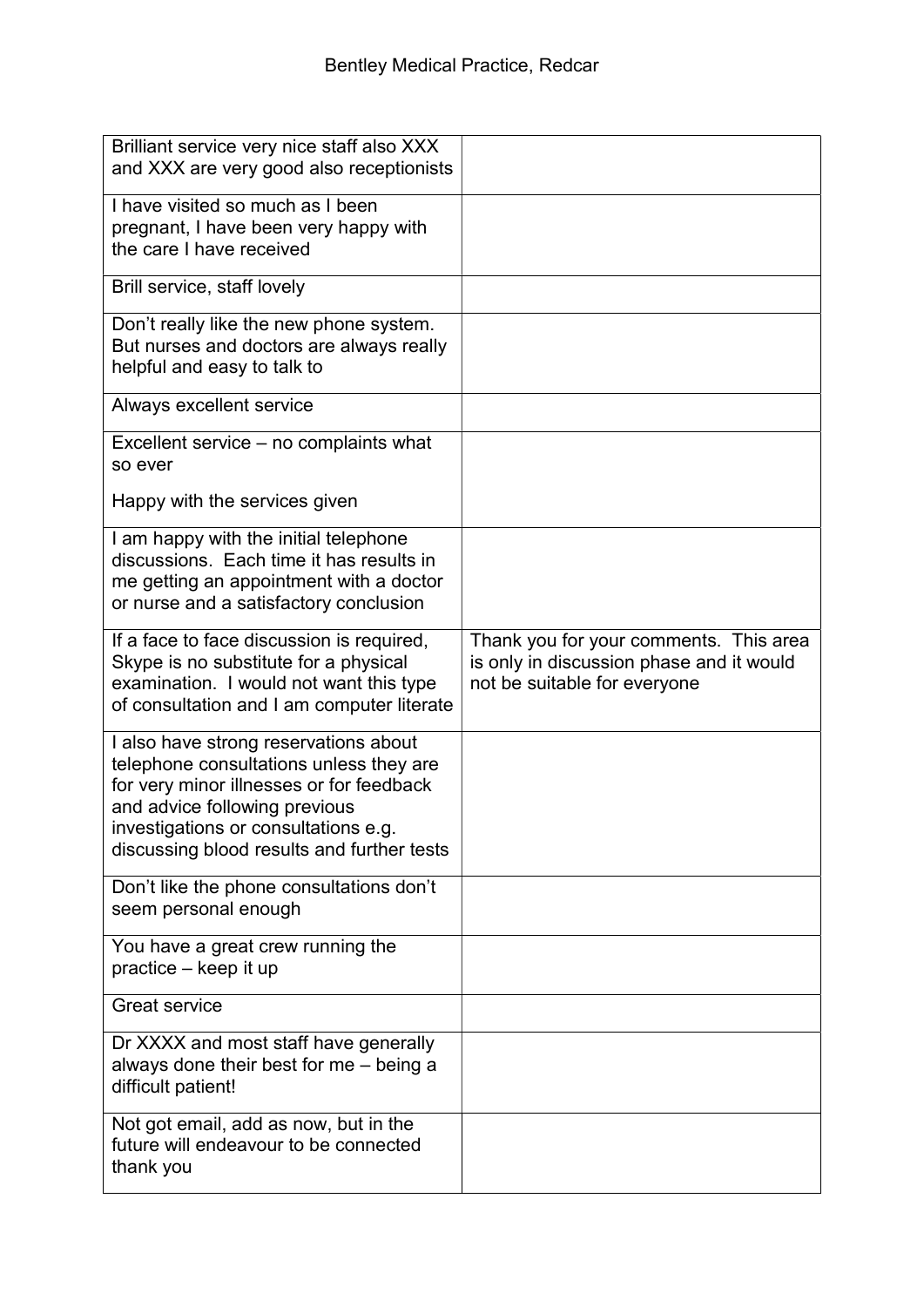| Brilliant service very nice staff also XXX<br>and XXX are very good also receptionists                                                                                                                                                              |                                                                                                                    |
|-----------------------------------------------------------------------------------------------------------------------------------------------------------------------------------------------------------------------------------------------------|--------------------------------------------------------------------------------------------------------------------|
| I have visited so much as I been<br>pregnant, I have been very happy with<br>the care I have received                                                                                                                                               |                                                                                                                    |
| Brill service, staff lovely                                                                                                                                                                                                                         |                                                                                                                    |
| Don't really like the new phone system.<br>But nurses and doctors are always really<br>helpful and easy to talk to                                                                                                                                  |                                                                                                                    |
| Always excellent service                                                                                                                                                                                                                            |                                                                                                                    |
| Excellent service – no complaints what<br>so ever                                                                                                                                                                                                   |                                                                                                                    |
| Happy with the services given                                                                                                                                                                                                                       |                                                                                                                    |
| I am happy with the initial telephone<br>discussions. Each time it has results in<br>me getting an appointment with a doctor<br>or nurse and a satisfactory conclusion                                                                              |                                                                                                                    |
| If a face to face discussion is required,<br>Skype is no substitute for a physical<br>examination. I would not want this type<br>of consultation and I am computer literate                                                                         | Thank you for your comments. This area<br>is only in discussion phase and it would<br>not be suitable for everyone |
| I also have strong reservations about<br>telephone consultations unless they are<br>for very minor illnesses or for feedback<br>and advice following previous<br>investigations or consultations e.g.<br>discussing blood results and further tests |                                                                                                                    |
| Don't like the phone consultations don't<br>seem personal enough                                                                                                                                                                                    |                                                                                                                    |
| You have a great crew running the<br>practice – keep it up                                                                                                                                                                                          |                                                                                                                    |
| <b>Great service</b>                                                                                                                                                                                                                                |                                                                                                                    |
| Dr XXXX and most staff have generally<br>always done their best for me - being a<br>difficult patient!                                                                                                                                              |                                                                                                                    |
| Not got email, add as now, but in the<br>future will endeavour to be connected<br>thank you                                                                                                                                                         |                                                                                                                    |